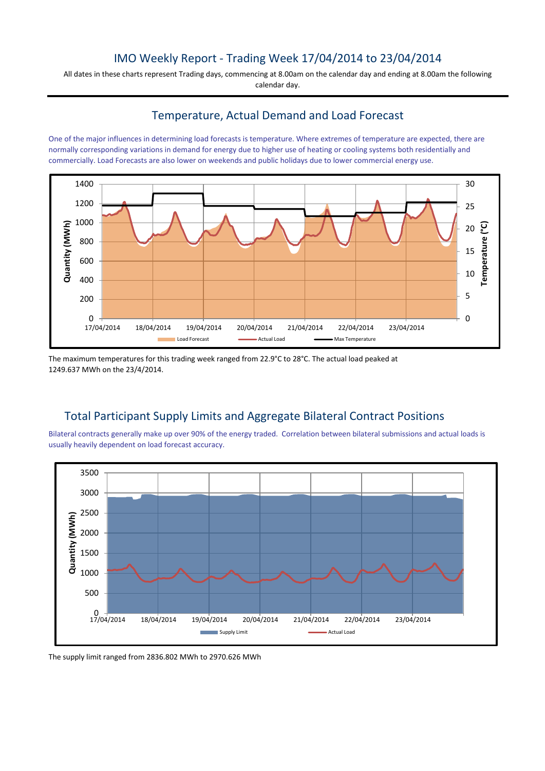## IMO Weekly Report - Trading Week 17/04/2014 to 23/04/2014

All dates in these charts represent Trading days, commencing at 8.00am on the calendar day and ending at 8.00am the following calendar day.

#### Temperature, Actual Demand and Load Forecast

One of the major influences in determining load forecasts is temperature. Where extremes of temperature are expected, there are normally corresponding variations in demand for energy due to higher use of heating or cooling systems both residentially and commercially. Load Forecasts are also lower on weekends and public holidays due to lower commercial energy use.



The maximum temperatures for this trading week ranged from 22.9°C to 28°C. The actual load peaked at 1249.637 MWh on the 23/4/2014.

# Total Participant Supply Limits and Aggregate Bilateral Contract Positions

Bilateral contracts generally make up over 90% of the energy traded. Correlation between bilateral submissions and actual loads is usually heavily dependent on load forecast accuracy.



The supply limit ranged from 2836.802 MWh to 2970.626 MWh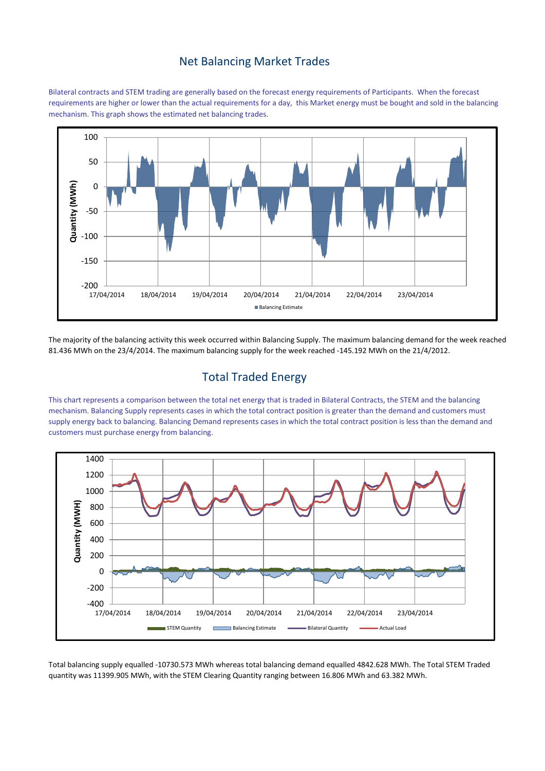#### Net Balancing Market Trades

Bilateral contracts and STEM trading are generally based on the forecast energy requirements of Participants. When the forecast requirements are higher or lower than the actual requirements for a day, this Market energy must be bought and sold in the balancing mechanism. This graph shows the estimated net balancing trades.



The majority of the balancing activity this week occurred within Balancing Supply. The maximum balancing demand for the week reached 81.436 MWh on the 23/4/2014. The maximum balancing supply for the week reached -145.192 MWh on the 21/4/2012.

# Total Traded Energy

This chart represents a comparison between the total net energy that is traded in Bilateral Contracts, the STEM and the balancing mechanism. Balancing Supply represents cases in which the total contract position is greater than the demand and customers must supply energy back to balancing. Balancing Demand represents cases in which the total contract position is less than the demand and customers must purchase energy from balancing.



Total balancing supply equalled -10730.573 MWh whereas total balancing demand equalled 4842.628 MWh. The Total STEM Traded quantity was 11399.905 MWh, with the STEM Clearing Quantity ranging between 16.806 MWh and 63.382 MWh.